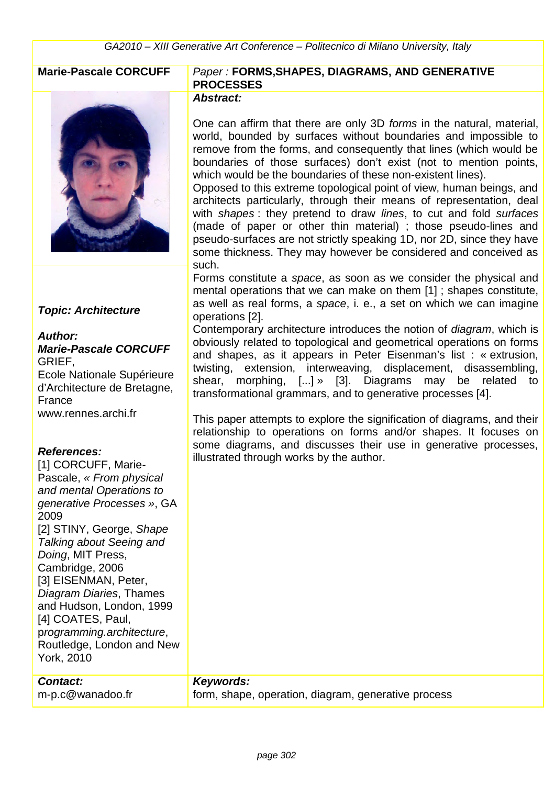

## **Topic: Architecture**

# **Author:**

**Marie-Pascale CORCUFF** GRIEF, Ecole Nationale Supérieure d'Architecture de Bretagne, France www.rennes.archi.fr

## **References:**

[1] CORCUFF, Marie-Pascale, « From physical and mental Operations to generative Processes », GA 2009 [2] STINY, George, Shape Talking about Seeing and Doing, MIT Press, Cambridge, 2006 [3] EISENMAN, Peter, Diagram Diaries, Thames and Hudson, London, 1999 [4] COATES, Paul, programming.architecture, Routledge, London and New York, 2010

| <b>Contact:</b>  | Keywords:                                           |
|------------------|-----------------------------------------------------|
| m-p.c@wanadoo.fr | form, shape, operation, diagram, generative process |

## **Marie-Pascale CORCUFF** Paper : **FORMS,SHAPES, DIAGRAMS, AND GENERATIVE PROCESSES**

#### **Abstract:**

One can affirm that there are only 3D forms in the natural, material, world, bounded by surfaces without boundaries and impossible to remove from the forms, and consequently that lines (which would be boundaries of those surfaces) don't exist (not to mention points, which would be the boundaries of these non-existent lines).

Opposed to this extreme topological point of view, human beings, and architects particularly, through their means of representation, deal with shapes: they pretend to draw lines, to cut and fold surfaces (made of paper or other thin material) ; those pseudo-lines and pseudo-surfaces are not strictly speaking 1D, nor 2D, since they have some thickness. They may however be considered and conceived as such.

Forms constitute a space, as soon as we consider the physical and mental operations that we can make on them [1] ; shapes constitute, as well as real forms, a space, i. e., a set on which we can imagine operations [2].

Contemporary architecture introduces the notion of diagram, which is obviously related to topological and geometrical operations on forms and shapes, as it appears in Peter Eisenman's list : « extrusion, twisting, extension, interweaving, displacement, disassembling, shear, morphing, [...] » [3]. Diagrams may be related to transformational grammars, and to generative processes [4].

This paper attempts to explore the signification of diagrams, and their relationship to operations on forms and/or shapes. It focuses on some diagrams, and discusses their use in generative processes, illustrated through works by the author.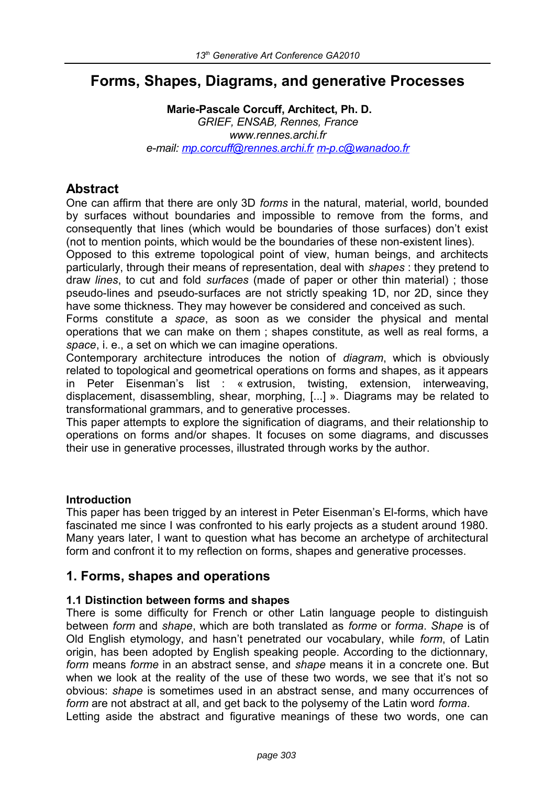# **Forms, Shapes, Diagrams, and generative Processes**

**Marie-Pascale Corcuff, Architect, Ph. D.** *GRIEF, ENSAB, Rennes, France www.rennes.archi.fr e-mail: [mp.corcuff@rennes.archi.fr](mailto:mp.corcuff@rennes.archi.fr) [m-p.c@wanadoo.fr](mailto:%20m-p.c@wanadoo.fr)* 

## **Abstract**

One can affirm that there are only 3D *forms* in the natural, material, world, bounded by surfaces without boundaries and impossible to remove from the forms, and consequently that lines (which would be boundaries of those surfaces) don't exist (not to mention points, which would be the boundaries of these non-existent lines).

Opposed to this extreme topological point of view, human beings, and architects particularly, through their means of representation, deal with *shapes* : they pretend to draw *lines*, to cut and fold *surfaces* (made of paper or other thin material) ; those pseudo-lines and pseudo-surfaces are not strictly speaking 1D, nor 2D, since they have some thickness. They may however be considered and conceived as such.

Forms constitute a *space*, as soon as we consider the physical and mental operations that we can make on them ; shapes constitute, as well as real forms, a *space*, i. e., a set on which we can imagine operations.

Contemporary architecture introduces the notion of *diagram*, which is obviously related to topological and geometrical operations on forms and shapes, as it appears in Peter Eisenman's list : « extrusion, twisting, extension, interweaving, displacement, disassembling, shear, morphing, [...] ». Diagrams may be related to transformational grammars, and to generative processes.

This paper attempts to explore the signification of diagrams, and their relationship to operations on forms and/or shapes. It focuses on some diagrams, and discusses their use in generative processes, illustrated through works by the author.

## **Introduction**

This paper has been trigged by an interest in Peter Eisenman's El-forms, which have fascinated me since I was confronted to his early projects as a student around 1980. Many years later, I want to question what has become an archetype of architectural form and confront it to my reflection on forms, shapes and generative processes.

## **1. Forms, shapes and operations**

## **1.1 Distinction between forms and shapes**

There is some difficulty for French or other Latin language people to distinguish between *form* and *shape*, which are both translated as *forme* or *forma*. *Shape* is of Old English etymology, and hasn't penetrated our vocabulary, while *form*, of Latin origin, has been adopted by English speaking people. According to the dictionnary, *form* means *forme* in an abstract sense, and *shape* means it in a concrete one. But when we look at the reality of the use of these two words, we see that it's not so obvious: *shape* is sometimes used in an abstract sense, and many occurrences of *form* are not abstract at all, and get back to the polysemy of the Latin word *forma*. Letting aside the abstract and figurative meanings of these two words, one can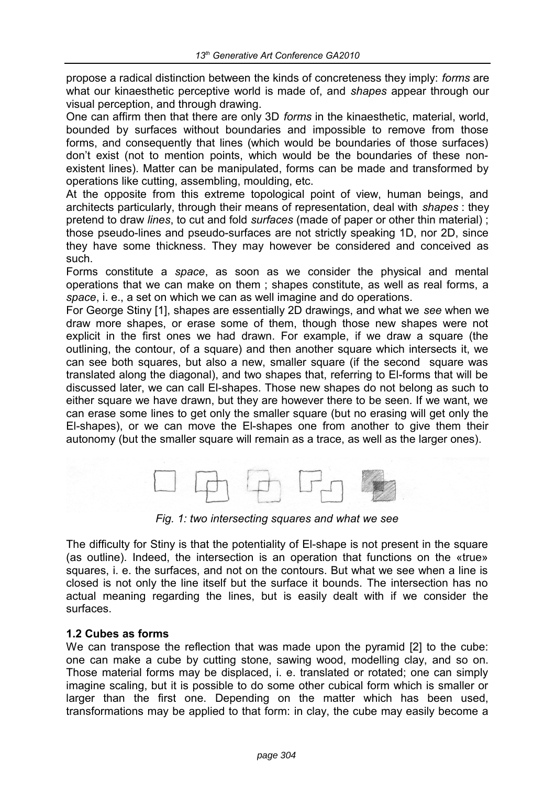propose a radical distinction between the kinds of concreteness they imply: *forms* are what our kinaesthetic perceptive world is made of, and *shapes* appear through our visual perception, and through drawing.

One can affirm then that there are only 3D *forms* in the kinaesthetic, material, world, bounded by surfaces without boundaries and impossible to remove from those forms, and consequently that lines (which would be boundaries of those surfaces) don't exist (not to mention points, which would be the boundaries of these nonexistent lines). Matter can be manipulated, forms can be made and transformed by operations like cutting, assembling, moulding, etc.

At the opposite from this extreme topological point of view, human beings, and architects particularly, through their means of representation, deal with *shapes* : they pretend to draw *lines*, to cut and fold *surfaces* (made of paper or other thin material) ; those pseudo-lines and pseudo-surfaces are not strictly speaking 1D, nor 2D, since they have some thickness. They may however be considered and conceived as such.

Forms constitute a *space*, as soon as we consider the physical and mental operations that we can make on them ; shapes constitute, as well as real forms, a *space*, i. e., a set on which we can as well imagine and do operations.

For George Stiny [1], shapes are essentially 2D drawings, and what we *see* when we draw more shapes, or erase some of them, though those new shapes were not explicit in the first ones we had drawn. For example, if we draw a square (the outlining, the contour, of a square) and then another square which intersects it, we can see both squares, but also a new, smaller square (if the second square was translated along the diagonal), and two shapes that, referring to El-forms that will be discussed later, we can call El-shapes. Those new shapes do not belong as such to either square we have drawn, but they are however there to be seen. If we want, we can erase some lines to get only the smaller square (but no erasing will get only the El-shapes), or we can move the El-shapes one from another to give them their autonomy (but the smaller square will remain as a trace, as well as the larger ones).



*Fig. 1: two intersecting squares and what we see*

The difficulty for Stiny is that the potentiality of El-shape is not present in the square (as outline). Indeed, the intersection is an operation that functions on the «true» squares, i. e. the surfaces, and not on the contours. But what we see when a line is closed is not only the line itself but the surface it bounds. The intersection has no actual meaning regarding the lines, but is easily dealt with if we consider the surfaces.

## **1.2 Cubes as forms**

We can transpose the reflection that was made upon the pyramid [2] to the cube: one can make a cube by cutting stone, sawing wood, modelling clay, and so on. Those material forms may be displaced, i. e. translated or rotated; one can simply imagine scaling, but it is possible to do some other cubical form which is smaller or larger than the first one. Depending on the matter which has been used, transformations may be applied to that form: in clay, the cube may easily become a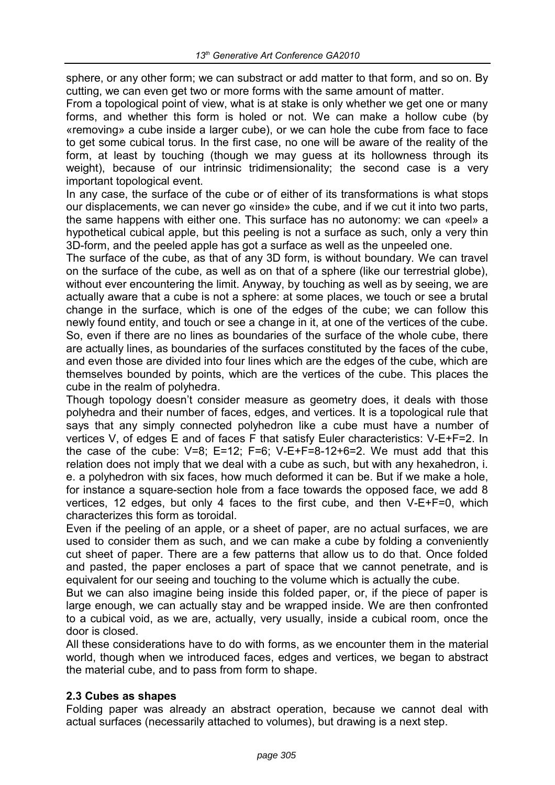sphere, or any other form; we can substract or add matter to that form, and so on. By cutting, we can even get two or more forms with the same amount of matter.

From a topological point of view, what is at stake is only whether we get one or many forms, and whether this form is holed or not. We can make a hollow cube (by «removing» a cube inside a larger cube), or we can hole the cube from face to face to get some cubical torus. In the first case, no one will be aware of the reality of the form, at least by touching (though we may guess at its hollowness through its weight), because of our intrinsic tridimensionality; the second case is a very important topological event.

In any case, the surface of the cube or of either of its transformations is what stops our displacements, we can never go «inside» the cube, and if we cut it into two parts, the same happens with either one. This surface has no autonomy: we can «peel» a hypothetical cubical apple, but this peeling is not a surface as such, only a very thin 3D-form, and the peeled apple has got a surface as well as the unpeeled one.

The surface of the cube, as that of any 3D form, is without boundary. We can travel on the surface of the cube, as well as on that of a sphere (like our terrestrial globe), without ever encountering the limit. Anyway, by touching as well as by seeing, we are actually aware that a cube is not a sphere: at some places, we touch or see a brutal change in the surface, which is one of the edges of the cube; we can follow this newly found entity, and touch or see a change in it, at one of the vertices of the cube. So, even if there are no lines as boundaries of the surface of the whole cube, there are actually lines, as boundaries of the surfaces constituted by the faces of the cube, and even those are divided into four lines which are the edges of the cube, which are themselves bounded by points, which are the vertices of the cube. This places the cube in the realm of polyhedra.

Though topology doesn't consider measure as geometry does, it deals with those polyhedra and their number of faces, edges, and vertices. It is a topological rule that says that any simply connected polyhedron like a cube must have a number of vertices V, of edges E and of faces F that satisfy Euler characteristics: V-E+F=2. In the case of the cube:  $V=8$ ; E=12; F=6; V-E+F=8-12+6=2. We must add that this relation does not imply that we deal with a cube as such, but with any hexahedron, i. e. a polyhedron with six faces, how much deformed it can be. But if we make a hole, for instance a square-section hole from a face towards the opposed face, we add 8 vertices, 12 edges, but only 4 faces to the first cube, and then V-E+F=0, which characterizes this form as toroidal.

Even if the peeling of an apple, or a sheet of paper, are no actual surfaces, we are used to consider them as such, and we can make a cube by folding a conveniently cut sheet of paper. There are a few patterns that allow us to do that. Once folded and pasted, the paper encloses a part of space that we cannot penetrate, and is equivalent for our seeing and touching to the volume which is actually the cube.

But we can also imagine being inside this folded paper, or, if the piece of paper is large enough, we can actually stay and be wrapped inside. We are then confronted to a cubical void, as we are, actually, very usually, inside a cubical room, once the door is closed.

All these considerations have to do with forms, as we encounter them in the material world, though when we introduced faces, edges and vertices, we began to abstract the material cube, and to pass from form to shape.

## **2.3 Cubes as shapes**

Folding paper was already an abstract operation, because we cannot deal with actual surfaces (necessarily attached to volumes), but drawing is a next step.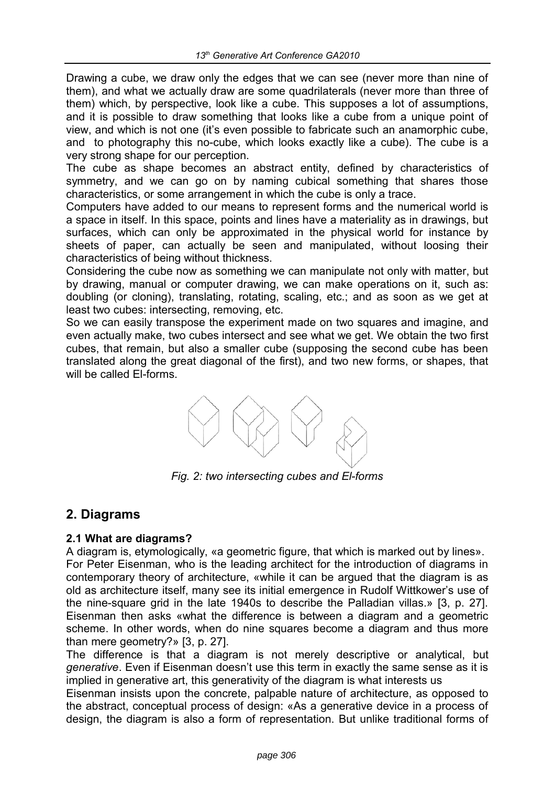Drawing a cube, we draw only the edges that we can see (never more than nine of them), and what we actually draw are some quadrilaterals (never more than three of them) which, by perspective, look like a cube. This supposes a lot of assumptions, and it is possible to draw something that looks like a cube from a unique point of view, and which is not one (it's even possible to fabricate such an anamorphic cube, and to photography this no-cube, which looks exactly like a cube). The cube is a very strong shape for our perception.

The cube as shape becomes an abstract entity, defined by characteristics of symmetry, and we can go on by naming cubical something that shares those characteristics, or some arrangement in which the cube is only a trace.

Computers have added to our means to represent forms and the numerical world is a space in itself. In this space, points and lines have a materiality as in drawings, but surfaces, which can only be approximated in the physical world for instance by sheets of paper, can actually be seen and manipulated, without loosing their characteristics of being without thickness.

Considering the cube now as something we can manipulate not only with matter, but by drawing, manual or computer drawing, we can make operations on it, such as: doubling (or cloning), translating, rotating, scaling, etc.; and as soon as we get at least two cubes: intersecting, removing, etc.

So we can easily transpose the experiment made on two squares and imagine, and even actually make, two cubes intersect and see what we get. We obtain the two first cubes, that remain, but also a smaller cube (supposing the second cube has been translated along the great diagonal of the first), and two new forms, or shapes, that will be called El-forms.



*Fig. 2: two intersecting cubes and El-forms*

## **2. Diagrams**

## **2.1 What are diagrams?**

A diagram is, etymologically, «a geometric figure, that which is marked out by lines». For Peter Eisenman, who is the leading architect for the introduction of diagrams in contemporary theory of architecture, «while it can be argued that the diagram is as old as architecture itself, many see its initial emergence in Rudolf Wittkower's use of the nine-square grid in the late 1940s to describe the Palladian villas.» [3, p. 27]. Eisenman then asks «what the difference is between a diagram and a geometric scheme. In other words, when do nine squares become a diagram and thus more than mere geometry?» [3, p. 27].

The difference is that a diagram is not merely descriptive or analytical, but *generative*. Even if Eisenman doesn't use this term in exactly the same sense as it is implied in generative art, this generativity of the diagram is what interests us

Eisenman insists upon the concrete, palpable nature of architecture, as opposed to the abstract, conceptual process of design: «As a generative device in a process of design, the diagram is also a form of representation. But unlike traditional forms of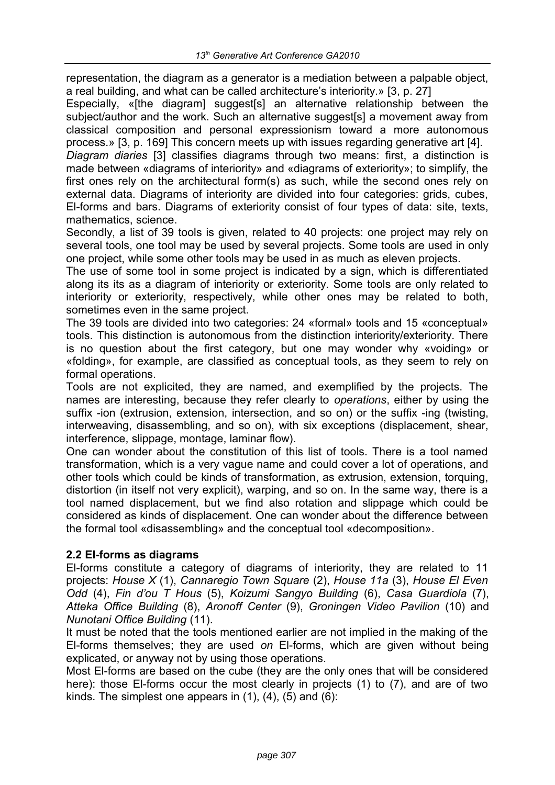representation, the diagram as a generator is a mediation between a palpable object, a real building, and what can be called architecture's interiority.» [3, p. 27]

Especially, «[the diagram] suggest[s] an alternative relationship between the subject/author and the work. Such an alternative suggest[s] a movement away from classical composition and personal expressionism toward a more autonomous process.» [3, p. 169] This concern meets up with issues regarding generative art [4].

*Diagram diaries* [3] classifies diagrams through two means: first, a distinction is made between «diagrams of interiority» and «diagrams of exteriority»; to simplify, the first ones rely on the architectural form(s) as such, while the second ones rely on external data. Diagrams of interiority are divided into four categories: grids, cubes, El-forms and bars. Diagrams of exteriority consist of four types of data: site, texts, mathematics, science.

Secondly, a list of 39 tools is given, related to 40 projects: one project may rely on several tools, one tool may be used by several projects. Some tools are used in only one project, while some other tools may be used in as much as eleven projects.

The use of some tool in some project is indicated by a sign, which is differentiated along its its as a diagram of interiority or exteriority. Some tools are only related to interiority or exteriority, respectively, while other ones may be related to both, sometimes even in the same project.

The 39 tools are divided into two categories: 24 «formal» tools and 15 «conceptual» tools. This distinction is autonomous from the distinction interiority/exteriority. There is no question about the first category, but one may wonder why «voiding» or «folding», for example, are classified as conceptual tools, as they seem to rely on formal operations.

Tools are not explicited, they are named, and exemplified by the projects. The names are interesting, because they refer clearly to *operations*, either by using the suffix -ion (extrusion, extension, intersection, and so on) or the suffix -ing (twisting, interweaving, disassembling, and so on), with six exceptions (displacement, shear, interference, slippage, montage, laminar flow).

One can wonder about the constitution of this list of tools. There is a tool named transformation, which is a very vague name and could cover a lot of operations, and other tools which could be kinds of transformation, as extrusion, extension, torquing, distortion (in itself not very explicit), warping, and so on. In the same way, there is a tool named displacement, but we find also rotation and slippage which could be considered as kinds of displacement. One can wonder about the difference between the formal tool «disassembling» and the conceptual tool «decomposition».

## **2.2 El-forms as diagrams**

El-forms constitute a category of diagrams of interiority, they are related to 11 projects: *House X* (1), *Cannaregio Town Square* (2), *House 11a* (3), *House El Even Odd* (4), *Fin d'ou T Hous* (5), *Koizumi Sangyo Building* (6), *Casa Guardiola* (7), *Atteka Office Building* (8), *Aronoff Center* (9), *Groningen Video Pavilion* (10) and *Nunotani Office Building* (11).

It must be noted that the tools mentioned earlier are not implied in the making of the El-forms themselves; they are used *on* El-forms, which are given without being explicated, or anyway not by using those operations.

Most El-forms are based on the cube (they are the only ones that will be considered here): those El-forms occur the most clearly in projects (1) to (7), and are of two kinds. The simplest one appears in  $(1)$ ,  $(4)$ ,  $(5)$  and  $(6)$ :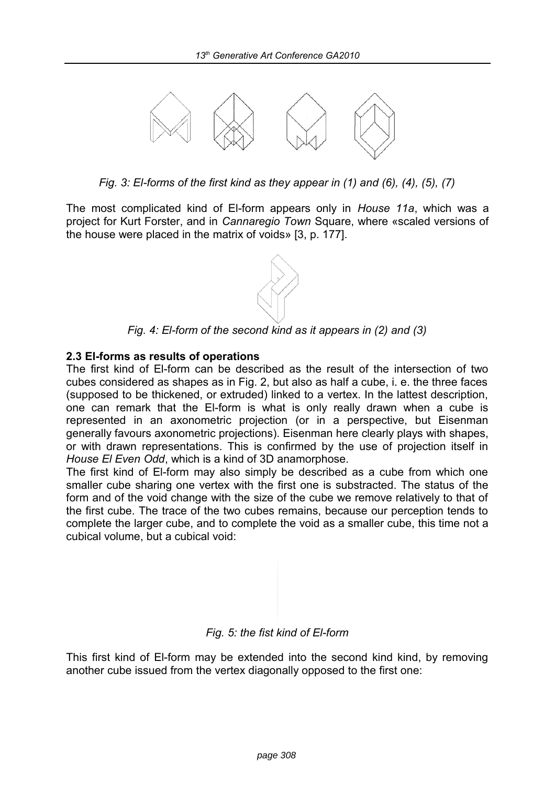

*Fig. 3: El-forms of the first kind as they appear in (1) and (6), (4), (5), (7)*

The most complicated kind of El-form appears only in *House 11a*, which was a project for Kurt Forster, and in *Cannaregio Town* Square, where «scaled versions of the house were placed in the matrix of voids» [3, p. 177].



*Fig. 4: El-form of the second kind as it appears in (2) and (3)*

## **2.3 El-forms as results of operations**

The first kind of El-form can be described as the result of the intersection of two cubes considered as shapes as in Fig. 2, but also as half a cube, i. e. the three faces (supposed to be thickened, or extruded) linked to a vertex. In the lattest description, one can remark that the El-form is what is only really drawn when a cube is represented in an axonometric projection (or in a perspective, but Eisenman generally favours axonometric projections). Eisenman here clearly plays with shapes, or with drawn representations. This is confirmed by the use of projection itself in *House El Even Odd*, which is a kind of 3D anamorphose.

The first kind of El-form may also simply be described as a cube from which one smaller cube sharing one vertex with the first one is substracted. The status of the form and of the void change with the size of the cube we remove relatively to that of the first cube. The trace of the two cubes remains, because our perception tends to complete the larger cube, and to complete the void as a smaller cube, this time not a cubical volume, but a cubical void:

## *Fig. 5: the fist kind of El-form*

This first kind of El-form may be extended into the second kind kind, by removing another cube issued from the vertex diagonally opposed to the first one: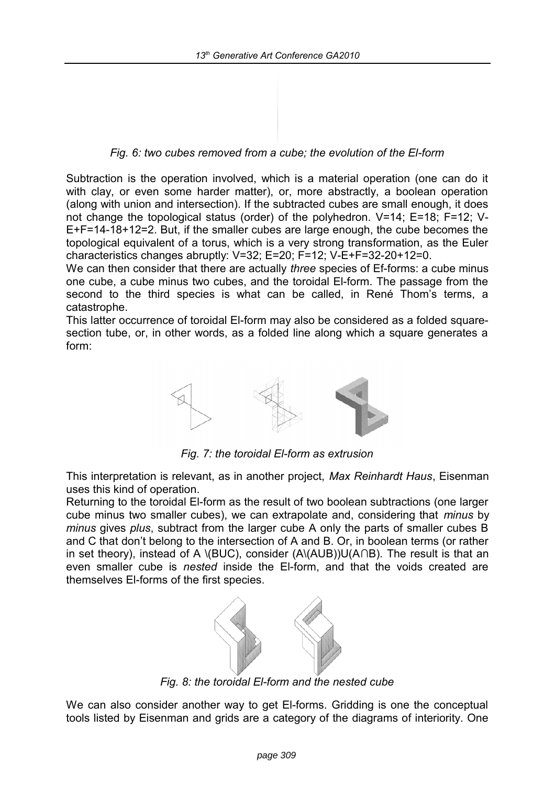*Fig. 6: two cubes removed from a cube; the evolution of the El-form*

Subtraction is the operation involved, which is a material operation (one can do it with clay, or even some harder matter), or, more abstractly, a boolean operation (along with union and intersection). If the subtracted cubes are small enough, it does not change the topological status (order) of the polyhedron. V=14; E=18; F=12; V-E+F=14-18+12=2. But, if the smaller cubes are large enough, the cube becomes the topological equivalent of a torus, which is a very strong transformation, as the Euler characteristics changes abruptly: V=32; E=20; F=12; V-E+F=32-20+12=0.

We can then consider that there are actually *three* species of Ef-forms: a cube minus one cube, a cube minus two cubes, and the toroidal El-form. The passage from the second to the third species is what can be called, in René Thom's terms, a catastrophe.

This latter occurrence of toroidal El-form may also be considered as a folded squaresection tube, or, in other words, as a folded line along which a square generates a form:



*Fig. 7: the toroidal El-form as extrusion*

This interpretation is relevant, as in another project, *Max Reinhardt Haus*, Eisenman uses this kind of operation.

Returning to the toroidal El-form as the result of two boolean subtractions (one larger cube minus two smaller cubes), we can extrapolate and, considering that *minus* by *minus* gives *plus*, subtract from the larger cube A only the parts of smaller cubes B and C that don't belong to the intersection of A and B. Or, in boolean terms (or rather in set theory), instead of A \(BUC), consider (A\(AUB))U(A∩B). The result is that an even smaller cube is *nested* inside the El-form, and that the voids created are themselves El-forms of the first species.



*Fig. 8: the toroidal El-form and the nested cube*

We can also consider another way to get El-forms. Gridding is one the conceptual tools listed by Eisenman and grids are a category of the diagrams of interiority. One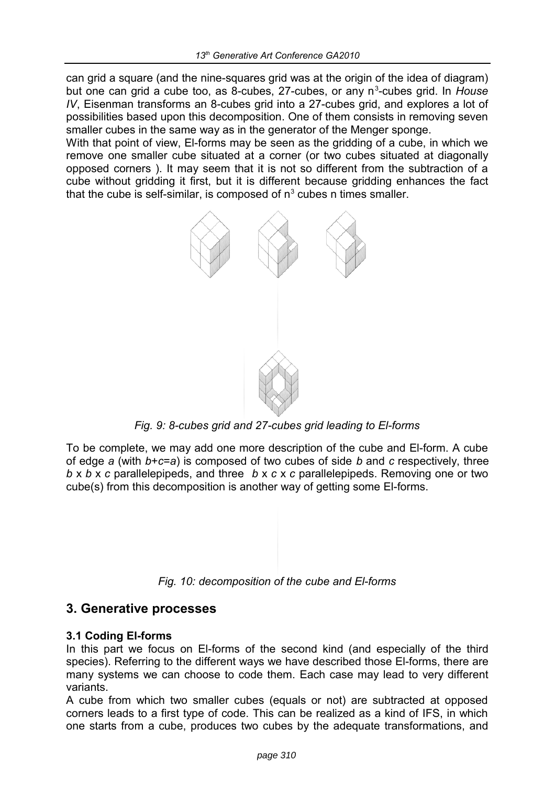can grid a square (and the nine-squares grid was at the origin of the idea of diagram) but one can grid a cube too, as 8-cubes, 27-cubes, or any n<sup>3</sup>-cubes grid. In House *IV*, Eisenman transforms an 8-cubes grid into a 27-cubes grid, and explores a lot of possibilities based upon this decomposition. One of them consists in removing seven smaller cubes in the same way as in the generator of the Menger sponge.

With that point of view, El-forms may be seen as the gridding of a cube, in which we remove one smaller cube situated at a corner (or two cubes situated at diagonally opposed corners ). It may seem that it is not so different from the subtraction of a cube without gridding it first, but it is different because gridding enhances the fact that the cube is self-similar, is composed of  $n<sup>3</sup>$  cubes n times smaller.



*Fig. 9: 8-cubes grid and 27-cubes grid leading to El-forms*

To be complete, we may add one more description of the cube and El-form. A cube of edge *a* (with *b*+*c*=*a*) is composed of two cubes of side *b* and *c* respectively, three *b* x *b* x *c* parallelepipeds, and three *b* x *c* x *c* parallelepipeds. Removing one or two cube(s) from this decomposition is another way of getting some El-forms.



## **3. Generative processes**

## **3.1 Coding El-forms**

In this part we focus on El-forms of the second kind (and especially of the third species). Referring to the different ways we have described those El-forms, there are many systems we can choose to code them. Each case may lead to very different variants.

A cube from which two smaller cubes (equals or not) are subtracted at opposed corners leads to a first type of code. This can be realized as a kind of IFS, in which one starts from a cube, produces two cubes by the adequate transformations, and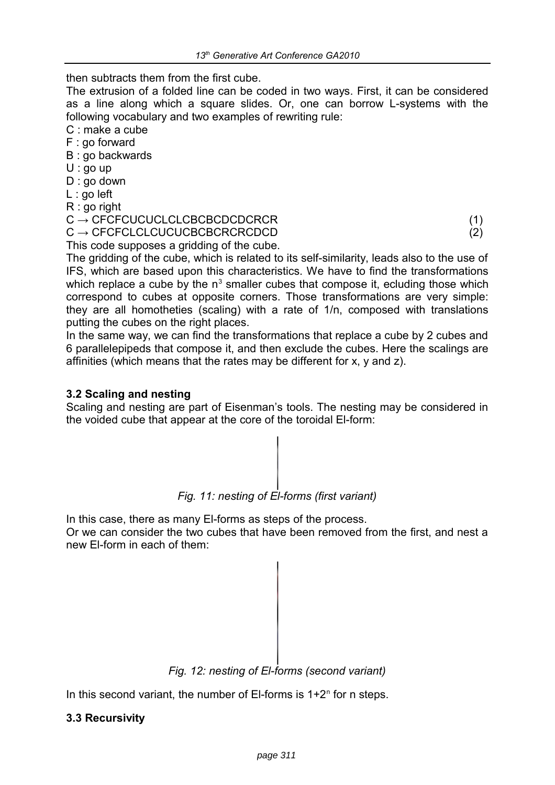then subtracts them from the first cube.

The extrusion of a folded line can be coded in two ways. First, it can be considered as a line along which a square slides. Or, one can borrow L-systems with the following vocabulary and two examples of rewriting rule:

C : make a cube

F : go forward

B : go backwards

- U : go up
- D : go down
- L : go left
- R : go right

#### $C \rightarrow CFCFCUCUCLCLCBCBCDCDCRCR$  (1)  $C \rightarrow CFCFCLCLCUCUCBCBCRERCPCD$  (2)

This code supposes a gridding of the cube.

The gridding of the cube, which is related to its self-similarity, leads also to the use of IFS, which are based upon this characteristics. We have to find the transformations which replace a cube by the  $n^3$  smaller cubes that compose it, ecluding those which correspond to cubes at opposite corners. Those transformations are very simple: they are all homotheties (scaling) with a rate of 1/n, composed with translations putting the cubes on the right places.

In the same way, we can find the transformations that replace a cube by 2 cubes and 6 parallelepipeds that compose it, and then exclude the cubes. Here the scalings are affinities (which means that the rates may be different for x, y and z).

## **3.2 Scaling and nesting**

Scaling and nesting are part of Eisenman's tools. The nesting may be considered in the voided cube that appear at the core of the toroidal El-form:



In this case, there as many El-forms as steps of the process. Or we can consider the two cubes that have been removed from the first, and nest a new El-form in each of them:



In this second variant, the number of EI-forms is  $1+2<sup>n</sup>$  for n steps.

## **3.3 Recursivity**